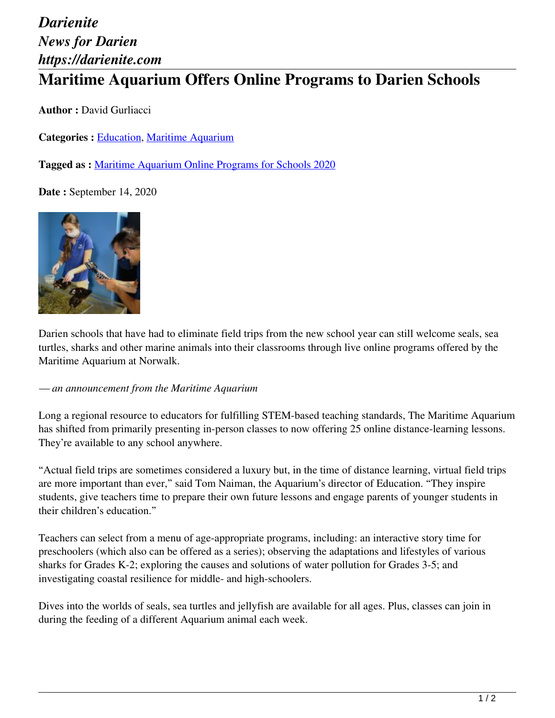## *Darienite News for Darien https://darienite.com* **Maritime Aquarium Offers Online Programs to Darien Schools**

**Author :** David Gurliacci

**Categories :** [Education,](https://darienite.com/category/news/education) Maritime Aquarium

**Tagged as :** Maritime Aquarium Online Programs for Schools 2020

**Date :** September 14, 2020



Darien schools that have had to eliminate field trips from the new school year can still welcome seals, sea turtles, sharks and other marine animals into their classrooms through live online programs offered by the Maritime Aquarium at Norwalk.

*— an announcement from the Maritime Aquarium*

Long a regional resource to educators for fulfilling STEM-based teaching standards, The Maritime Aquarium has shifted from primarily presenting in-person classes to now offering 25 online distance-learning lessons. They're available to any school anywhere.

"Actual field trips are sometimes considered a luxury but, in the time of distance learning, virtual field trips are more important than ever," said Tom Naiman, the Aquarium's director of Education. "They inspire students, give teachers time to prepare their own future lessons and engage parents of younger students in their children's education."

Teachers can select from a menu of age-appropriate programs, including: an interactive story time for preschoolers (which also can be offered as a series); observing the adaptations and lifestyles of various sharks for Grades K-2; exploring the causes and solutions of water pollution for Grades 3-5; and investigating coastal resilience for middle- and high-schoolers.

Dives into the worlds of seals, sea turtles and jellyfish are available for all ages. Plus, classes can join in during the feeding of a different Aquarium animal each week.